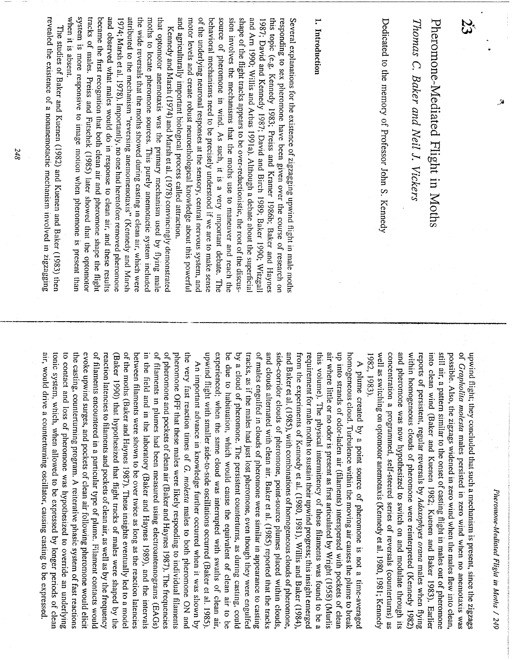Pheromone-Mediated Flight in Moths / 249

Thomas C. Baker and Neil J. Vickers Pheromone-Mediated Flight in Moths 33

 $\mathcal{A}$ 

Dedicated to the memory of Professor John S. Kennedy

# 1. Introduction

and agriculturally important biological process called attraction. of the underlying neuronal responses at the sensory, central nervous system, and source of pheromone in wind. As such, it is a very important debate. The sion involves the mechanisms that the moths use to maneuver and reach the shape of the flight tracks appears to be over-reductionistic, the root of the discusmotor levels and create robust neuroethological knowledge about this powerfu behavioral mechanisms need to be precisely understood if we are to make sense and Arn 1990; Willis and Arbas 1991a). Although a debate about the superficial 1987; David and Kennedy 1987; David and Birch 1989; Baker 1990; Witzgall this topic (e.g. Kennedy 1983; Preiss and Kramer 1986b; Baker and Haynes responding to sex pheromone have been given over the course of research on Several explanations for the existence of zigzagging upwind flight in male moths

system is more responsive to image motion when pheromone is present than tracks of males. Preiss and Futschek (1985) later showed that the optomotor became the first recognition that both clean air and pheromone shape the flight and observed what males would do in response to clean air, and these results 1974; Marsh et al. 1978). Importantly, no one had heretofore removed pheromone attributed to the mechanism "reversing anemomenotaxis" (Kennedy and Marsh  $\ldots$ , moths to locate pheromone sources. This purely anemotactic system included When it is absent. the wide reversals that the moths showed during casting in clean air, which were that optomotor anemotaxis was the primary mechanism used by flying male Kennedy and Marsh (1974) and Marsh et al. (1978) convincingly demonstrated

revealed the existence of a nonanemotactic mechanism involved in zigzagging The studies of Baker and Kuenen (1982) and Kuenen and Baker (1983) then

> well as switching on optomotor anemotaxis (Kennedy et al. 1980, 1981; Kennedy concentration a programmed, self-steered series of reversals (counterturns) as of Grapholita molesta males persisted in zero wind when no anemotaxis was 1982, 1983). and pheromone was now hypothesized to switch on and modulate through its within homogeneous clouds of pheromone were reinterpreted (Kennedy 1982) still air, a pattern similar to the onset of casting flight in males out of pheromone possible. Also, the zigzags widened in zero wind when the males flew into clean, upwind flight; they concluded that such a mechanism is present, since the zigzags reports of persistent, regular reversals by Adoxophyes orana males when flying into clean wind (Baker and Kuenen 1982; Kuenen and Baker 1983). Earlier

upwind flight with smaller side-to-side oscillations occurred (Baker et al. 1985). experienced; when the same cloud was interrupted with swaths of clean air, of males engulfed in clouds of pheromone were similar in appearance to casting and clouds alternated with clean air. Baker et al. (1985) reported that the tracks side-corridor clouds of pheromone, point-source plumes placed within clouds, and Baker et al. (1985), with combinations of homogeneous clouds of pheromone, homogeneous cloud. Turbulence within the moving air causes the plume to break be due to habituation, which would cause the equivalent of clean air to be by a cloud of pheromone. The persistent counterturns, as during casting, could tracks, as if the males had just lost pheromone, even though they were engulfed from the experiments of Kennedy et al. (1980, 1981), Willis and Baker (1984), requirement for male moths to sustain their upwind progress; this insight emerged air where little or no odor is present as first articulated by Wright (1958) (Murlis up into strands of odor-laden air (filaments) interspersed with pockets of clean this volume). The physical intermittency of these filaments was found to be a A plume created by a point source of pheromone is not a time-averaged

of filaments encountered in a particular type of plume. Filament contacts would of the moths (Baker and Haynes 1987). These insights eventually led to a mode of filaments in plumes had been measured using electroantennograms (EAGs) of pheromone and pockets of clean air (Baker and Haynes 1987). The frequencies pheromone OFF that these males were likely responding to individual filaments air, would drive a counterturning oscillator, causing casting to be expressed. tonic system, which, when allowed to be expressed by longer periods of clean to contact and loss of pheromone was hypothesized to override an underlying the casting, counterturning program. A reiterative phasic system of fast reactions evoke upwind surges, and pockets of clean air following pheromone would elicireaction latencies to flaments and pockets of clean air, as well as by the frequency (Baker 1990) that hypothesized that flight tracks of males were shaped by the between filaments were shown to be over twice as long as the reaction latencies in the field and in the laboratory (Baker and Haynes 1989), and the intervals the very fast reaction times of G. molesta males to both pheromone ON and An important advance in knowledge further occurred when it was shown by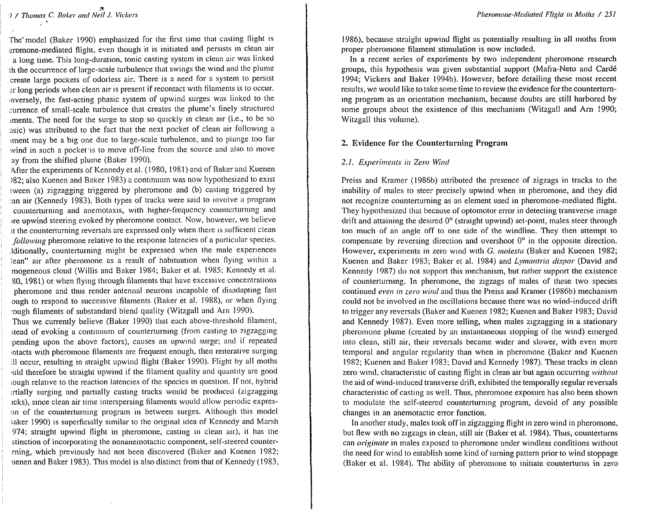# **3- <sup>1</sup>**/ *Thomas* C. *Baker* **wid** *Neil J. Vickvrs*

The'model (Baker 1990) emphasized for the first time that casting flight is eromone-mediated flight, even though it is initiated and persists in clean air a long time. This long-duration, tonic casting system in clean air was linked th the occurrence of large-scale turbulence that swings the wind and the plume create large pockets of odorless air. There is a need for a system to persist er long periods when clean air is present if recontact with filaments is to occur. nversely, the fast-acting phasic system of upwind surges was linked to the currence of small-scale turbulence that creates the plume's finely structured iments. The need for the surge to stop so quickly in clean air (i.e., to be so nsic) was attributed to the fact that the next pocket of clean air following a iment may be a big one due to large-scale turbulence, and to plunge too far wind in such a pocket is to move off-line from the source and also to move ay from the shifted plume (Baker 1990).

After the experiments of Kennedy et al. (1980,1981) and of Baker and Kuenen 182; also Kuenen and Baker 1983) a continuum was now hypothesized to exist tween (a) zigzagging triggered by pheromone and (b) casting triggered by 'an air (Kennedy 1983). Both types of tracks were said to involve a program counterturning and anemotaxis, with higher-frequency counterturning and )re upwind steering evoked by pheromone contact. Now, however, we believe it the counterturning reversals are expressed only when there is sufficient clean *following* pheromone relative to the response latencies of a particular species. iditionally, counterturning might be expressed when the male experiences lean" air after pheromone as a result of habituation when flying within a mogeneous cloud (Willis and Baker 1984; Baker et al. 1985; Kennedy et al. 80, 1981) or when flying through filaments that have excessive concentrations pheromone and thus render antenna1 neurons incapable of disadapting fast ough to respond to successive filaments (Baker et al. 1988), or when flying ough filaments of substandard blend quality (Witzgall and Am 1990).

Thus we currently believe (Baker 1990) that each above-threshold filament, stead of evoking a continuum of counterturning (from casting to zigzagging pending upon the above factors), causes an upwind surge; and it repeated intacts with pheromone filaments are frequent enough, then reiterative surging 11 occur, resulting in straight upwind flight (Baker 1990). Flight by all moths uld therefore be straight upwind if the filament quality and quantity are good sough relative to the reaction latencies of the species in question. If not, hybrid xtially surging and partially casting tracks would be produced (zigzagging icks), since clean air time interspersing filaments wouid allow periodic expreson of the counterturning program in between surges. Although this model Baker 1990) is superficially similar to the original idea of Kennedy and Marsh 974; straight upwind flight in pheromone, casting in clean air), it has the stinction of incorporating the nonanemotactic component, self-steered counterming, which previously had not been discovered (Baker and Kuenen 1982; uenen and Baker 1983). This model is also distinct from that of Kennedy (!983, !986), because straight upwind flight as potentially resulting in all moths from proper pheromone filament stimulation is now included.

In a recent series of experiments by two independent pheromone research groups, this hypothesis was given substantial support (Mafra-Neto and Card6 1994; Vickers and Baker 1994b). However, before detailing these most recent results, we would like to take some time to review the evidence for the counterturning program as an orientation mechanism, because doubts are still harbored by some groups about the existence of this mechanism (Witzgall and Arn !990; Witzgall this volume).

#### **2. Evidence for the Counterturning Program**

#### *2.1. Experiments in Zero* **Wind**

Preiss and Kramer (1986b) attributed the presence of zigzags in tracks to the inability of males to steer precisely upwind when in pheromone, and they did not recognize counterturning as an element used in pheromone-mediated flight. They hypothesized that because of optomotor error in detecting transverse image drift and attaining the desired  $0^{\circ}$  (straight upwind) set-point, males steer through too much of an angle off to one side of the windline. They then attempt to compensate by reversing direction and overshoot  $0^{\circ}$  in the opposite direction. However, experiments in zero wind with G. *mdesta* (Baker and Kuenen 1982; Kuenen and Baker 1983; Baker et al. 1984) and *Lymantria dispar* (David and Kennedy 1987) do not support this mechanism, but rather support the existence of counterturning. In pheromone, the zigzags of males of these two species continued *even in* zero wind and thus the Preiss and Kramer (1986b) mechanism could not be involved in the oscillations because there was no wind-induced drift to trigger any reversals (Baker and Kuenen 1982; Kuenen and Baker 1983; David and Kennedy 1987). Even more telling, when males zigzagging in a stationary pheromone plume (created by an instantaneous stopping of the wind) emerged into clean, still air, their reversals became wider and slower, with even more temporal and angular regularity than when in pheromone (Baker and Kuenen 1982; Kuenen and Baker 1983; David and Kennedy 1987). These tracks in clean zero wind, characteristic of casting flight in clean air but again occurring *without*  the aid of wind-induced transverse drift, exhibited the temporally regular reversals characteristic of casting as well. Thus, pheromone exposure has also been shown to modulate the self-steered counterturning program, devoid of any possible changes in an anemotactic error function.

In another study, males took off in zigzagging flight in zero wind in pheromone, but Hew with no zigzags in clean, still air (Baker et al. 1984). Thus, counterturns can *originate* in males exposed to pheromone under windless conditions without the need for wind to establish some kind of turning pattern prior to wind stoppage (Baker et al. 1984). The ability of pheromone to initiate counterturns in zero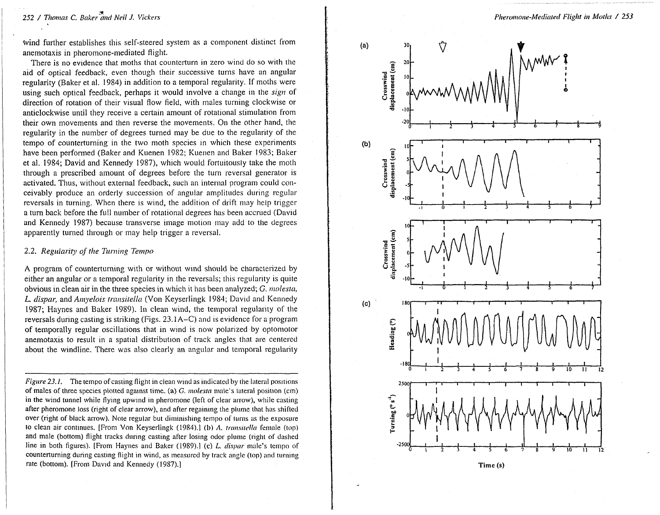#### 252 / Thomas C. Baker and Neil J. Vickers

wind further establishes this self-steered system as a component distinct from anemotaxis in pheromone-mediated flight.

There is no evidence that moths that counterturn in zero wind do so with the aid of optical feedback, even though their successive turns have an angular regularity (Baker et al. 1984) in addition to a temporal regularity. If moths were using such optical feedback, perhaps it would involve a change in the **sign** of direction of rotation of their visual flow field, with males turning clockwise or anticlockwise until they receive a certain amount of rotational stimulation from their own movements and then reverse the movements. On the other hand, the regularity in the number of degrees turned may be due to the regularity of the tempo of counterturning in the two moth species in which these experiments have been performed (Baker and Kuenen 1982; Kuenen and Baker 1983; Baker et al. 1984; David and Kennedy 1987), which would fortuitously take the moth through a prescribed amount of degrees before the turn reversal generator is activated. Thus, without external feedback, such an internal program could conceivably produce an orderly succession of angular amplitudes during regular reversals in turning. When there is wind, the addition of drift may help trigger a turn back before the full number of rotational degrees has been accrued (David and Kennedy 1987) because transverse image motion may add to the degrees apparently turned through or may help trigger a reversal.

#### *2.2. Regularity of the* Turning *Tempo*

**A** program of counterturning with or without wind should be characterized by either an angular or a temporal regularity in the reversals; this regularity is quite obvious in clean air in the three species in which it has been analyzed;  $G$ . *molesta*, L. *dispar,* and Amyelois transitella (Von Keyserlingk 1984; David and Kennedy 1987; Haynes and Baker 1989). In clean wind, the temporal regularity of the reversals during casting is striking (Figs. 23.1A–C) and is evidence for a program of temporally regular oscillations that in wind is now polarized by optomotor anemotaxis to result in a spatial distribution of track angles that are centered about the windline. There was also clearly an angular and temporal regularity

Figure  $23.1$ . The tempo of casting flight in clean wind as indicated by the lateral positions of males of three species plotted against time. (a) G. *molesta* male's lateral position (cm) in the wind tunnel while flying upwind in pheromone (left of clear arrow), while casting after pheromone loss (right of clear arrow), and after regaining the plume that has shifted over (right of black arrow). Note regular but diminishing tempo of turns as the exposure to clean air continues. [From Von Keyserlingk (19841.1 **(b) A. itciwellci** female (top) and male (bottom) flight tracks during casting after losing odor plume (right of dashed line in both figures). [From Haynes and Baker (1989).] (c) *L. dispar* male's tempo of Counterturning during casting flight in wind, as measured by track angle (top) and turning rate (bottom). [From David and Kennedy (1987).]

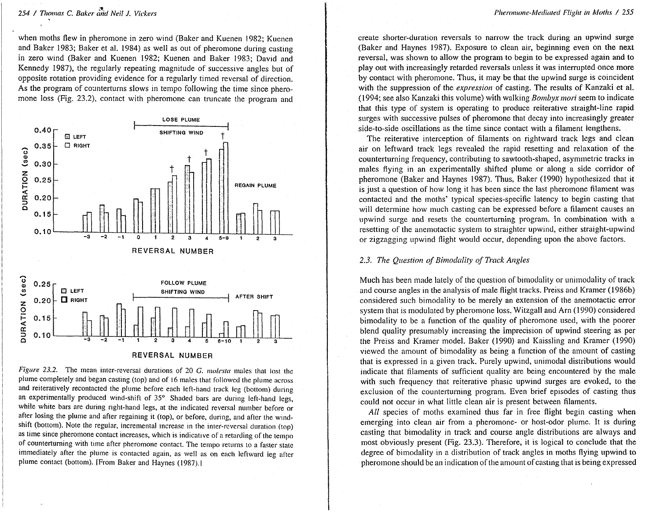#### **<sup>254</sup>**/ *Thomas C. Bciker &I Neil J. Vickers*

when moths flew in pheromone in zero wind (Baker and Kuenen 1982; Kuenen and Baker 1983; Baker et al. 1984) as well as out of pheromone during casting in zero wind (Baker and Kuenen 1982; Kuenen and Baker 1983; David and Kennedy 1987), the regularly repeating magnitude of successive angles but of opposite rotation providing evidence for a regularly timed reversal of direction. As the program of counterturns slows in tempo following the time since pheromone loss (Fig. 23.2), contact with pheromone can truncate the program and

LOSE PLUME 0.40 **r p r cose right** SHIFTING WIND **11EQ LEFT** TO 2007 THE CONTRACT CONTRACT CONTRACT CONTRACT CONTRACT CONTRACT CONTRACT CONTRACT CONTRACT CONTRACT CONTRACT CONTRACT CONTRACT CONTRACT CONTRACT CONTRACT CONTRACT CONTRACT CONTRACT CONTRACT CONTRACT CONTR 0.35 0 RIGHT DURATION (sec) 0.30  $0.25$ REGAIN PLUME  $0.20$  $0.15$  $\prod$  $0.10$ **-3**   $-2$  $-1$  $\Omega$  $\overline{2}$  $\mathbf{3}$  $5 - 9$ **REVERSAL NUMBER**  DURATION (sec) FOLLOW PLUME  $0.25$ **0** LEFT<br>□ RIGHT **SHIFTING WIND** RIGHT AFTER SHIFT  $0.20$  $0.15$  $0.10$ 

**REVERSAL NUMBER** 

*Figure 23.2.* The mean inter-reversal durations of 20 G. *molesta* males that lost the plume completely and began casting (top) and of 16 males that followed the plume across and reiteratively recontacted the plume before each left-nand track leg (bottom) during an experimentally produced wind-shift of 35°. Shaded bars are during left-hand legs, while white bars are during right-hand legs, at the indicated reversal number before or after losing the plume and after regaining it (top), or before, during, and after the windshift (bottom). Note the regular, incremental increase in the inter-reversal duration (top) as time since pheromone contact increases, which is indicative of a retarding of the tempo of counterturning with time after pheromone contact. The tempo returns to a faster state immediately after the plume is contacted again, as well as on each leftward leg after plume contact (bottom). [From Baker and Haynes (1987).]

create shorter-duration reversals to narrow the track during an upwind surge (Baker and Haynes 1987). Exposure to clean air, beginning even on the next reversal, was shown to allow the program to begin to be expressed again and to play out with increasingly retarded reversals unless it was interrupted once more by contact with pheromone. Thus, it may be that the upwind surge is coincident with the suppression of the *expression* of casting. The results of Kanzaki et al. (1 994; see also Kanzaki this volume) with walking *Bombyx won* seem to indicate that this type of system is operating to produce reiterative straight-line rapid surges with successive pulses of pheromone that decay into increasingly greater side-to-side oscillations as the time since contact with a filament lengthens.

The reiterative interception of filaments on rightward track legs and clean air on leftward track legs revealed the rapid resetting and relaxation of the counterturning frequency, contributing to sawtooth-shaped, asymmetric tracks in males flying in an experimentally shifted plume or along a side corridor of pheromone (Baker and Haynes 1987). Thus, Baker (1990) hypothesized that it is just a question of how long it has been since the last pheromone filament was contacted and the moths' typical species-specific latency to begin casting that will determine how much casting can be expressed before a filament causes an upwind surge and resets the counterturning program. In combination with a resetting of the anemotactic system to straighter upwind, either straight-upwind or zigzagging upwind flight would occur, depending upon the above factors.

#### *2.3. The Question of Bimodality of Track Angles*

Much has been made lately of the question of bimodality or unimodality of track and course angles in the analysis of male flight tracks. Preiss and Kramer (1986b) considered such bimodality to be merely an extension of the anemotactic error system that is modulated by pheromone loss. Witzgall and Arn (1990) considered bimodality to be a function of the quality of pheromone used, with the poorer blend quality presumably increasing the imprecision of upwind steering as per the Preiss and Kramer model. Baker (1990) and Kaissling and Kramer (1990) viewed the amount of bimodality as being a function of the amount of casting that is expressed in a given track. Purely upwind, unimodal distributions would indicate that filaments of sufficient quality are being encountered by the male with such frequency that reiterative phasic upwind surges are evoked, to the exclusion of the counterturning program. Even brief episodes of casting thus could not occur in what little clean air is present between filaments.

All species of moths examined thus far in free flight begin casting when emerging into clean air from a pheromone- or host-odor plume. It is during casting that bimodality in track and course angle distributions are always and most obviously present (Fig. 23.3). Therefore, it is logical to conclude that the degree of bimodality in a distribution of track angles in moths flying upwind to pheromone should be an indication of the amount of casting that is being expressed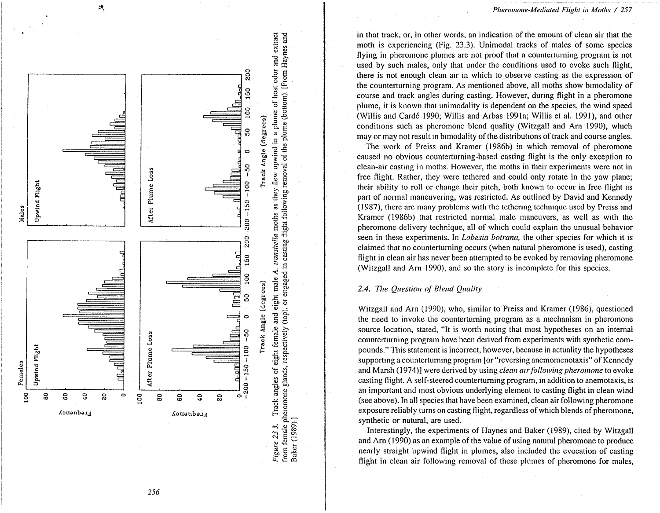

in that track, or, in other words, an indication of the amount of clean air that the moth is experiencing (Fig. 23.3). Unimodal tracks of males of some species flying in pheromone plumes are not proof that a counterturning program is not used by such males, only that under the conditions used to evoke such flight, there is not enough clean air in which to observe casting as the expression of the counterturning program. As mentioned above, all moths show bimodality of course and track angles during casting. However, during flight in a pheromone plume, it is known that unimodality is dependent on the species, the wind speed (Willis and Card6 1990; Willis and Arbas 199la; Willis et al. 1991), and other conditions such as pheromone blend quality (Witzgall and Arn 1990), which may or may not result in bimodality of the distributions of track and course angles.

The work of Preiss and Kramer (1986b) in which removal of pheromone caused no obvious counterturning-based casting flight is the only exception to clean-air casting in moths. However, the moths in their experiments were not in free flight. Rather, they were tethered and could only rotate in the yaw plane; their ability to roll or change their pitch, both known to occur in free flight as part of normal maneuvering, was restricted. As outlined by David and Kennedy (1987), there are many problems with the tethering technique used by Preiss and Kramer (1986b) that restricted normal male maneuvers, as well as with the pheromone delivery technique, all of which could explain the unusual behavior seen in these experiments. In *Lobesia botrana,* the other species for which it is claimed that no counterturning occurs (when natural pheromone is used), casting flight in clean air has never been attempted to be evoked by removing pheromone (Witzgall and Am 1990), and so the story is incomplete for this species.

#### *2.4. The Question of Blend Quality*

Witzgall and Arn (1990), who, similar to Preiss and Kramer (1986), questioned the need to invoke the counterturning program as a mechanism in pheromone source location, stated, "It is worth noting that most hypotheses on an internal counterturning program have been derived from experiments with synthetic compounds." This statement is incorrect, however, because in actuality the hypotheses supporting a counterturning program [or "reversing anemomenotaxis" of Kennedy and Marsh (1974)] were derived by using *clean air following pheromone* to evoke casting flight. A self-steered counterturning program, in addition to anemotaxis, is an important and most obvious underlying element to casting flight in clean wind (see above). In all species that have been examined, clean air following pheromone exposure reliably turns on casting flight, regardless of which blends of pheromone, synthetic or natural, are used.

Interestingly, the experiments of Haynes and Baker (1989), cited by Witzgall and Am (1990) as an example of the value of using natural pheromone to produce nearly straight upwind flight in plumes, also included the evocation of casting flight in clean air following removal of these plumes of pheromone for males,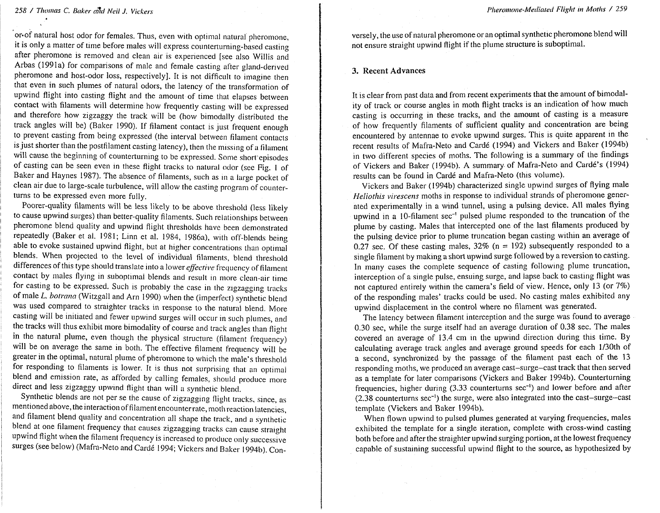or.of natural host odor for females. Thus, even with optimal natural pheromone, it is only a matter of time before males will express counterturning-based casting after pheromone is removed and clean air is experienced [see also Willis and Arbas (199la) for comparisons of male and female casting after gland-derived pheromone and host-odor loss, respectively]. It is not difficult to imagine then that even in such plumes of natural odors, the latency of the transformation of upwind flight into casting flight and the amount of time that elapses between contact with filaments will determine how frequently casting will be expressed and therefore how zigzaggy the track will be (how bimodally distributed the track angles will be) (Baker 1990). If filament contact is just frequent enough to prevent casting from being expressed (the interval between filament contacts is just shorter than the postfilament casting latency), then the missing of a filament will cause the beginning of counterturning to be expressed. Some short episodes of casting can be seen even in these flight tracks to natural odor (see Fig. 1 of Baker and Haynes 1987). The absence of filaments, such as in a large pocket of clean air due to large-scale turbulence, will allow the casting program of counterturns to be expressed even more fully.

Poorer-quality filaments will be less likely to be above threshold (less likeiy to cause upwind surges) than better-quality filaments. Such relationships between pheromone blend quality and upwind flight thresholds have been demonstrated repeatedly (Baker et al. 1981; Linn et al. 1984, 1986a), with off-blends being able to evoke sustained upwind flight, but at higher concentrations than optimal blends. When projected to the level of individual filaments, blend threshold differences of this type should translate into a lower *effective* frequency of filament contact by males flying in suboptimal blends and result in more clean-air time for casting to be expressed. Such is probably the case in the zigzagging tracks of male L. *botrana* (Witzgall and Arn 1990) when the (imperfect) synthetic blend was used compared to straighter tracks in response to the natural blend. More casting will be initiated and fewer upwind surges will occur in such plumes, and the tracks will thus exhibit more bimodality of course and track angles than flight in the natural plume, even though the physical structure (filament frequency) will be on average the same in both. The effective filament frequency will be greater in the optimal, natural plume of pheromone to which the male's threshold for responding to filaments is lower. It is thus not surprising that an optimal blend and emission rate, as afforded by calling females, should produce more direct and less zigzaggy upwind flight than will a synthetic blend.

Synthetic blends are not per se the cause of zigzagging flight tracks, since, as mentioned above, the interaction offilamentencounterrate, moth reaction latencies, and filament blend quality and concentration all shape the track, and a synthetic blend at one filament frequency that causes zigzagging tracks can cause straight upwind flight when the filament frequency is increased to produce only successive surges (see below) (Mafra-Neto and Card6 ! 994; Vickers and Baker 1994b). Conversely, the use of natural pheromone or an optimal synthetic pheromone blend will not ensure straight upwind flight if the plume structure is suboptimal.

#### **3. Recent Advances**

It is clear from past data and from recent experiments that the amount of bimodality of track or course angles in moth flight tracks is an indication of how much casting is occurring in these tracks, and the amount of casting is a measure of how frequently filaments of sufficient quality and concentration are being encountered by antennae to evoke upwind surges. This is quite apparent in the recent results of Mafra-Neto and Card6 (1994) and Vickers and Baker (1994b) in two different species of moths. The following is a summary of the findings of Vickers and Baker (1994b). A summary of Mafra-Neto and Cardé's (1994) results can be found in Cardé and Mafra-Neto (this volume).

Vickers and Baker (!994b) characterized single upwind surges of flying male *Heliothis virescens* moths in response to individual strands of pheromone generated experimentally in a wind tunnel, using a pulsing device. All males flying upwind in a 10-filament sec<sup>-1</sup> pulsed plume responded to the truncation of the plume by casting. Males that intercepted one of the last filaments produced by the pulsing device prior to plume truncation began casting within an average of 0.27 sec. Of these casting males,  $32\%$  (n = 192) subsequently responded to a single filament by making a short upwind surge followed by a reversion to casting. In many cases the complete sequence of casting following plume truncation, interception of a single pulse, ensuing surge, and lapse back to casting flight was not captured entirely within the camera's field of view. Hence, only 13 (or 7%) of the responding males' tracks could be used. No casting males exhibited any upwind displacement in the control where no filament was generated.

The latency between filament interception and the surge was found to average 0.30 sec, while the surge itself had an average duration of 0.38 sec. The males covered an average of 13.4 cm in the upwind direction during this time. By calculating average track angles and average ground speeds for each 1130th of a second, synchronized by the passage of the filament past each of the 13 responding moths, we produced an average cast-surge-cast track that then served as a template for later comparisons (Vickers and Baker 19940). Counterturning frequencies, higher during  $(3.33$  counterturns sec<sup>-1</sup>) and lower before and after  $(2.38$  counterturns  $sec^{-1}$ ) the surge, were also integrated into the cast-surge-cast template (Vickers and Baker 1994b).

When flown upwind to pulsed plumes generated at varying frequencies, males exhibited the template for a single iteration, complete with cross-wind casting both before and after the straighter upwind surging portion, at the lowest frequency capable of sustaining successful upwind flight to the source, as hypothesized by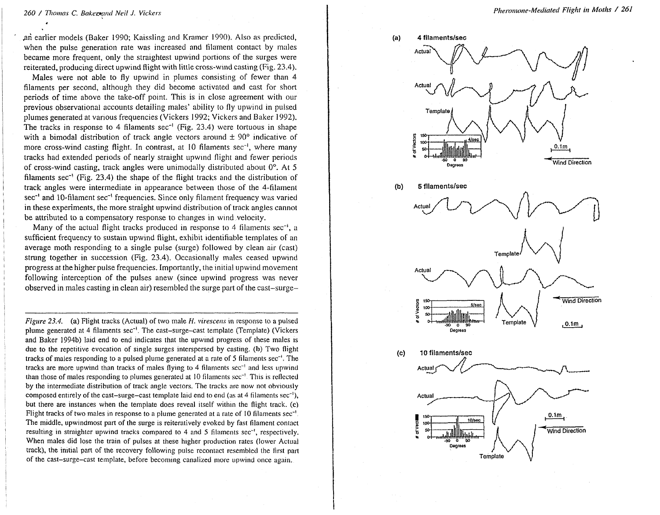#### 260 / Thomas C. Bakersand Neil J. Vickers

an earlier models (Baker 1990; Kaissling and Kramer 1990). Also as predicted, when the pulse generation rate was increased and filament contact by males became more frequent, only the straightest upwind portions of the surges were reiterated, producing direct upwind flight with little cross-wind casting (Fig. 23.4).

Males were not able to fly upwind in plumes consisting of fewer than **4**  filaments per second, although they did become activated and cast for short periods of time above the take-off point. This is in close agreement with our previous observational accounts detailing males' ability to fly upwind in pulsed plumes generated at various frequencies (Vickers 1992; Vickers and Baker 1992). The tracks in response to 4 filaments sec<sup>-1</sup> (Fig. 23.4) were tortuous in shape with a bimodal distribution of track angle vectors around  $\pm$  90 $^{\circ}$  indicative of more cross-wind casting flight. In contrast, at 10 filaments sec<sup>-1</sup>, where many tracks had extended periods of nearly straight upwind flight and fewer periods of cross-wind casting, track angles were unimodally distributed about  $0^{\circ}$ . At 5 filaments  $sec^{-1}$  (Fig. 23.4) the shape of the flight tracks and the distribution of track angles were intermediate in appearance between those of the 4-filament  $sec^{-1}$  and 10-filament  $sec^{-1}$  frequencies. Since only filament frequency was varied in these experiments, the more straight upwind distribution of track angles cannot be attributed to a compensatory response to changes in wind velocity.

Many of the actual flight tracks produced in response to 4 filaments sec<sup>-1</sup>, a sufficient frequency to sustain upwind flight, exhibit identifiable templates of an average moth responding to a single pulse (surge) followed by clean air (cast) strung together in succession (Fig. 23.4). Occasionally males ceased upwind progress at the higher pulse frequencies. Importantly, the initial upwind movement following interception of the pulses anew (since upwind progress was never observed in males casting in clean air) resembled the surge part of the cast-surge-

Figure 23.4. (a) Flight tracks (Actual) of two male  $H$ . virescens in response to a pulsed plume generated at 4 filaments  $sec^{-1}$ . The cast-surge-cast template (Template) (Vickers and Baker 1994b) laid end to end indicates that the upwind progress of these males is due to the repetitive evocation of single surges interspersed by casting. **(b)** Two flight tracks of males responding to a pulsed plume generated at a rate of 5 filaments sec<sup>-1</sup>. The tracks are more upwind than tracks of males flying to 4 filaments sec"' and less upwind than those of males responding to plumes generated at  $10$  filaments  $sec^{-1}$ . This is reflected by the intermediate distribution of track angle vectors. The tracks are now not obviously composed entirely of the cast-surge-cast template laid end to end (us at **4** filaments sec"'), but there are instances when the template does reveal itself within the flight track. (c) Flight tracks of two males in response to a plume generated at a rate of 10 filaments  $\sec^{-1}$ . The middle, upwindmost part of the surge is reiteratively evoked by fast filament contact resulting in straighter upwind tracks compared to 4 and 5 filaments sec<sup>-1</sup>, respectively. When males did lose the train of pulses at these higher production rates (lower Actual track), the initial part of the recovery following pulse recontact resembled the first part of the Cast-surge-cast template, before becoming canalized more upwind once again.

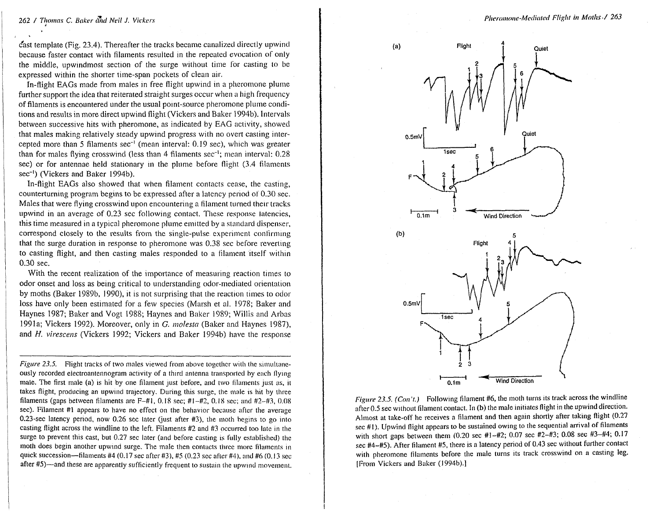#### *<sup>262</sup>*/ *Thomas* C. **Baker È7i** *Nril* **J. Vicki-rs**

(fast template (Fig. 23.4). Thereafter the tracks became canalized directly upwind because faster contact with filaments resulted in the repeated evocation of only the middle, upwindmost section of the surge without time for casting to be expressed within the shorter time-span pockets of clean air.

In-flight EAGs made from males in free flight upwind in a pheromone plume further support the idea that reiterated straight surges occur when a high frequency of filaments is encountered under the usual point-source pheromone plume conditions and results in more direct upwind flight (Vickers and Baker 1994b). Intervals between successive hits with pheromone, as indicated by EAG activity, showed that males making relatively steady upwind progress with no overt casting intercepted more than 5 filaments sec"' (mean interval: 0.19 sec), which was greater than for males flying crosswind (less than 4 filaments sec<sup>-1</sup>; mean interval: 0.28 sec) or for antennae held stationary in the plume before flight (3.4 filaments sec<sup>-1</sup>) (Vickers and Baker 1994b).

In-flight EAGs also showed that when filament contacts cease, the casting, counterturning program begins to be expressed after a latency period of 0.30 sec. Males that were flying crosswind upon encountering a filament turned their tracks upwind in an average of 0.23 sec following contact. These response latencies, this time measured in a typical pheromone plume emitted by a standard dispenser, correspond closely to the results from the single-pulse experiment confirming that the surge duration in response to pheromone was 0.38 sec before reverting to casting flight, and then casting males responded to a filament itself within 0.30 sec.

With the recent realization of the importance of measuring reaction times to odor onset and loss as being critical to understanding odor-mediated orientation by moths (Baker 1989b, 1990), it is not surprising that the reaction times to odor loss have only been estimated for a few species (Marsh et al. 1978; Baker and Haynes 1987; Baker and Vogt 1988; Haynes and Baker 1989; Willis and Arbas 199la: Vickers 1992). Moreover, only in G. *molesta* (Baker and Haynes 1987), and H. *virescens* (Vickers 1992; Vickers and Baker 1994b) have the response

*Figure 23.5.* Flight tracks of two males viewed from above together with the simultaneotisly recorded electroantennogram activity of a third antenna transported by each flying male. The first male (a) is hit by one filament just before, and two filaments just as, it takes flight, producing an upwind trajectory. During this surge, the male is hit by three filaments (gaps between filaments are F-#I, 0.18 sec; #I-#?, 0.18 sec; and *#2-#3,* 0.08 sec). Filament **#1** appears to have no effect on the behavior because after the average 0.23-sec latency period, now 0.26 sec later (just after  $#3$ ), the moth begins to go into casting flight across the windline to the left. Filaments #2 and #3 occurred too late in the Surge to prevent this cast, but 0.27 sec later (and before casting is fully established) the moth does begin another upwind surge. The male then contacts three more filaments in quick succession-filaments #4 (0.17 sec after #3), #5 (0.23 sec after #4), and #6 (0.13 sec after #5)—and these are apparently sufficiently frequent to sustain the upwind movement.



*Figure 23.5. (Con't.)* Following filament #6, the moth turns its track across the windline after 0.5 sec without filament contact. In **(b)** the male initiates flight in the upwind direction. Almost at take-off he receives a filament and then again shortly after taking flight (0.27 see #I). Upwind flight appears to be sustained owing to the sequential arrival of filaments with short gaps between them (0.20 sec #I-#2; 0.07 sec #2-#3; 0.08 sec **#3-#4;** 0.17 sec #4-#5). After filament #5, there is a latency period of 0.43 sec without further contact with pheromone filaments before the male turns its track crosswind on a casting leg. [From Vickers and Baker (1994b).]